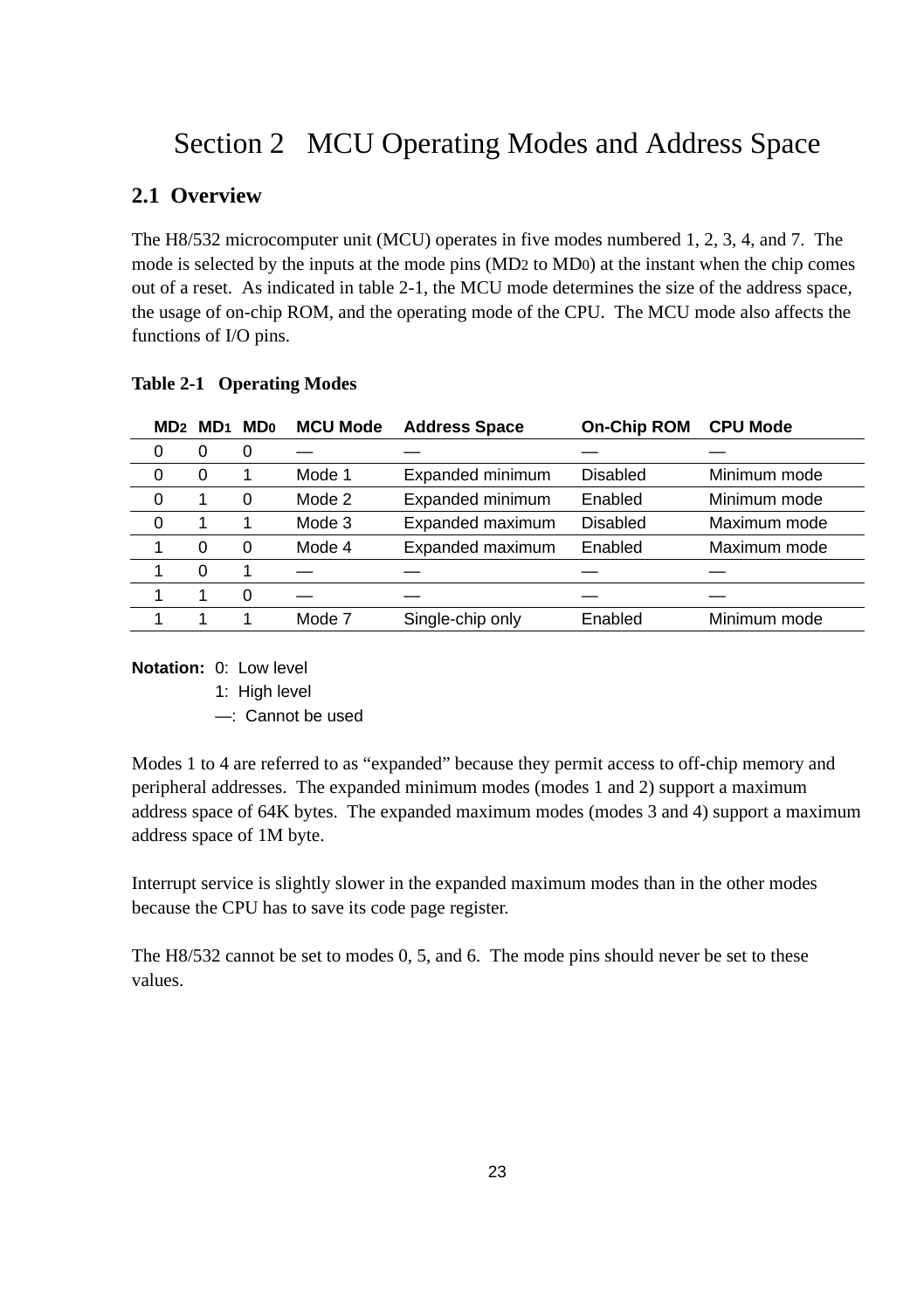# Section 2 MCU Operating Modes and Address Space

# **2.1 Overview**

The H8/532 microcomputer unit (MCU) operates in five modes numbered 1, 2, 3, 4, and 7. The mode is selected by the inputs at the mode pins (MD2 to MD0) at the instant when the chip comes out of a reset. As indicated in table 2-1, the MCU mode determines the size of the address space, the usage of on-chip ROM, and the operating mode of the CPU. The MCU mode also affects the functions of I/O pins.

|          | MD2 MD1  | <b>MDo</b> | <b>MCU Mode</b> | <b>Address Space</b> | <b>On-Chip ROM</b> | <b>CPU Mode</b> |  |
|----------|----------|------------|-----------------|----------------------|--------------------|-----------------|--|
| 0        | 0        | 0          |                 |                      |                    |                 |  |
| $\Omega$ | 0        |            | Mode 1          | Expanded minimum     | Disabled           | Minimum mode    |  |
| 0        |          | 0          | Mode 2          | Expanded minimum     | Enabled            | Minimum mode    |  |
| 0        |          |            | Mode 3          | Expanded maximum     | Disabled           | Maximum mode    |  |
|          | $\Omega$ | 0          | Mode 4          | Expanded maximum     | Enabled            | Maximum mode    |  |
|          | 0        |            |                 |                      |                    |                 |  |
|          |          | 0          |                 |                      |                    |                 |  |
|          |          |            | Mode 7          | Single-chip only     | Enabled            | Minimum mode    |  |

## **Table 2-1 Operating Modes**

## **Notation:** 0: Low level

1: High level

—: Cannot be used

Modes 1 to 4 are referred to as "expanded" because they permit access to off-chip memory and peripheral addresses. The expanded minimum modes (modes 1 and 2) support a maximum address space of 64K bytes. The expanded maximum modes (modes 3 and 4) support a maximum address space of 1M byte.

Interrupt service is slightly slower in the expanded maximum modes than in the other modes because the CPU has to save its code page register.

The H8/532 cannot be set to modes 0, 5, and 6. The mode pins should never be set to these values.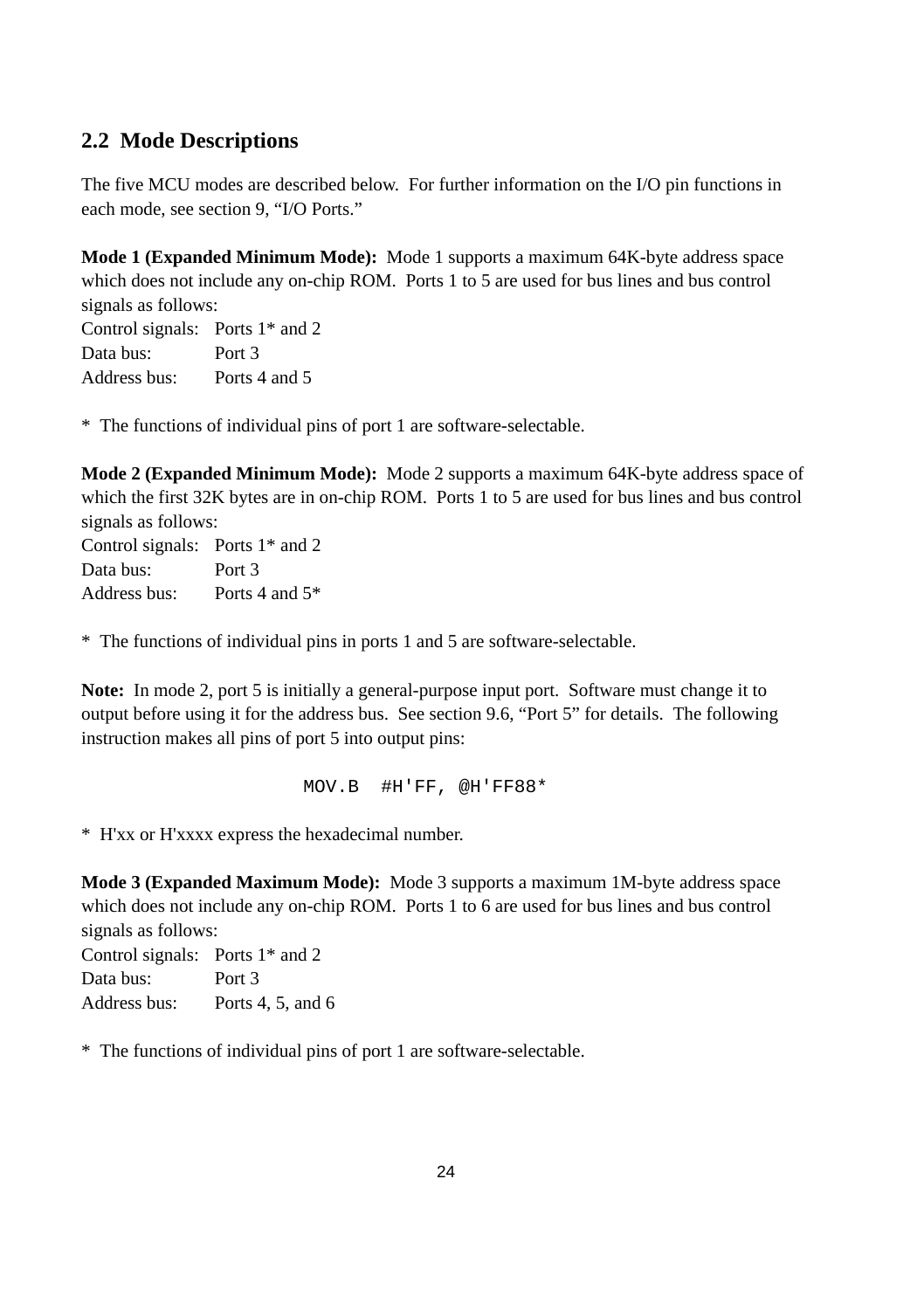# **2.2 Mode Descriptions**

The five MCU modes are described below. For further information on the I/O pin functions in each mode, see section 9, "I/O Ports."

**Mode 1 (Expanded Minimum Mode):** Mode 1 supports a maximum 64K-byte address space which does not include any on-chip ROM. Ports 1 to 5 are used for bus lines and bus control signals as follows:

Control signals: Ports 1\* and 2 Data bus: Port 3 Address bus: Ports 4 and 5

\* The functions of individual pins of port 1 are software-selectable.

**Mode 2 (Expanded Minimum Mode):** Mode 2 supports a maximum 64K-byte address space of which the first 32K bytes are in on-chip ROM. Ports 1 to 5 are used for bus lines and bus control signals as follows:

Control signals: Ports 1\* and 2 Data bus: Port 3 Address bus: Ports 4 and 5\*

\* The functions of individual pins in ports 1 and 5 are software-selectable.

**Note:** In mode 2, port 5 is initially a general-purpose input port. Software must change it to output before using it for the address bus. See section 9.6, "Port 5" for details. The following instruction makes all pins of port 5 into output pins:

MOV.B #H'FF, @H'FF88\*

\* H'xx or H'xxxx express the hexadecimal number.

**Mode 3 (Expanded Maximum Mode):** Mode 3 supports a maximum 1M-byte address space which does not include any on-chip ROM. Ports 1 to 6 are used for bus lines and bus control signals as follows:

Control signals: Ports 1\* and 2 Data bus: Port 3 Address bus: Ports 4, 5, and 6

\* The functions of individual pins of port 1 are software-selectable.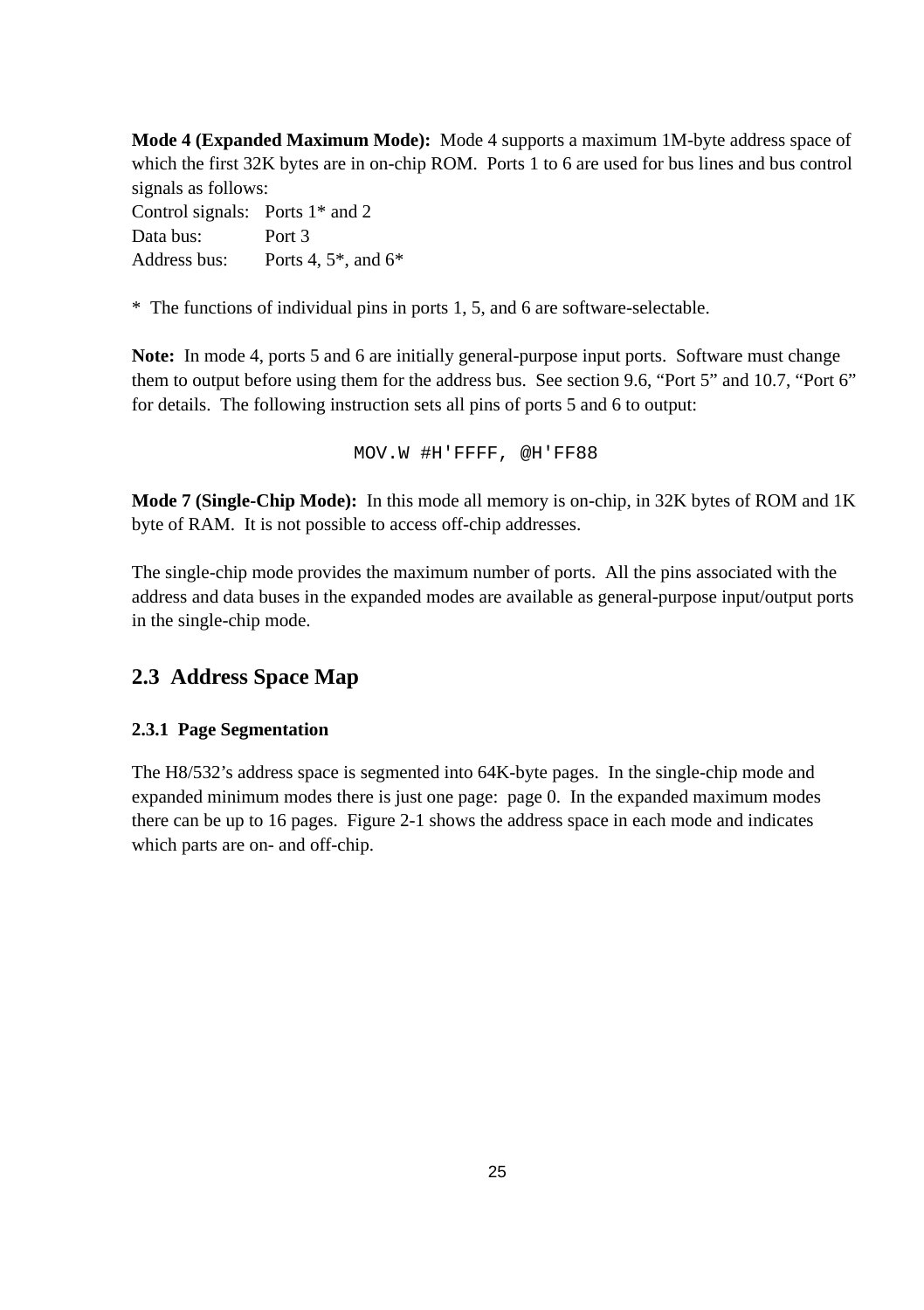**Mode 4 (Expanded Maximum Mode):** Mode 4 supports a maximum 1M-byte address space of which the first 32K bytes are in on-chip ROM. Ports 1 to 6 are used for bus lines and bus control signals as follows: Control signals: Ports 1\* and 2 Data bus: Port 3

Address bus: Ports 4, 5\*, and 6\*

\* The functions of individual pins in ports 1, 5, and 6 are software-selectable.

**Note:** In mode 4, ports 5 and 6 are initially general-purpose input ports. Software must change them to output before using them for the address bus. See section 9.6, "Port 5" and 10.7, "Port 6" for details. The following instruction sets all pins of ports 5 and 6 to output:

MOV.W #H'FFFF, @H'FF88

**Mode 7 (Single-Chip Mode):** In this mode all memory is on-chip, in 32K bytes of ROM and 1K byte of RAM. It is not possible to access off-chip addresses.

The single-chip mode provides the maximum number of ports. All the pins associated with the address and data buses in the expanded modes are available as general-purpose input/output ports in the single-chip mode.

# **2.3 Address Space Map**

## **2.3.1 Page Segmentation**

The H8/532's address space is segmented into 64K-byte pages. In the single-chip mode and expanded minimum modes there is just one page: page 0. In the expanded maximum modes there can be up to 16 pages. Figure 2-1 shows the address space in each mode and indicates which parts are on- and off-chip.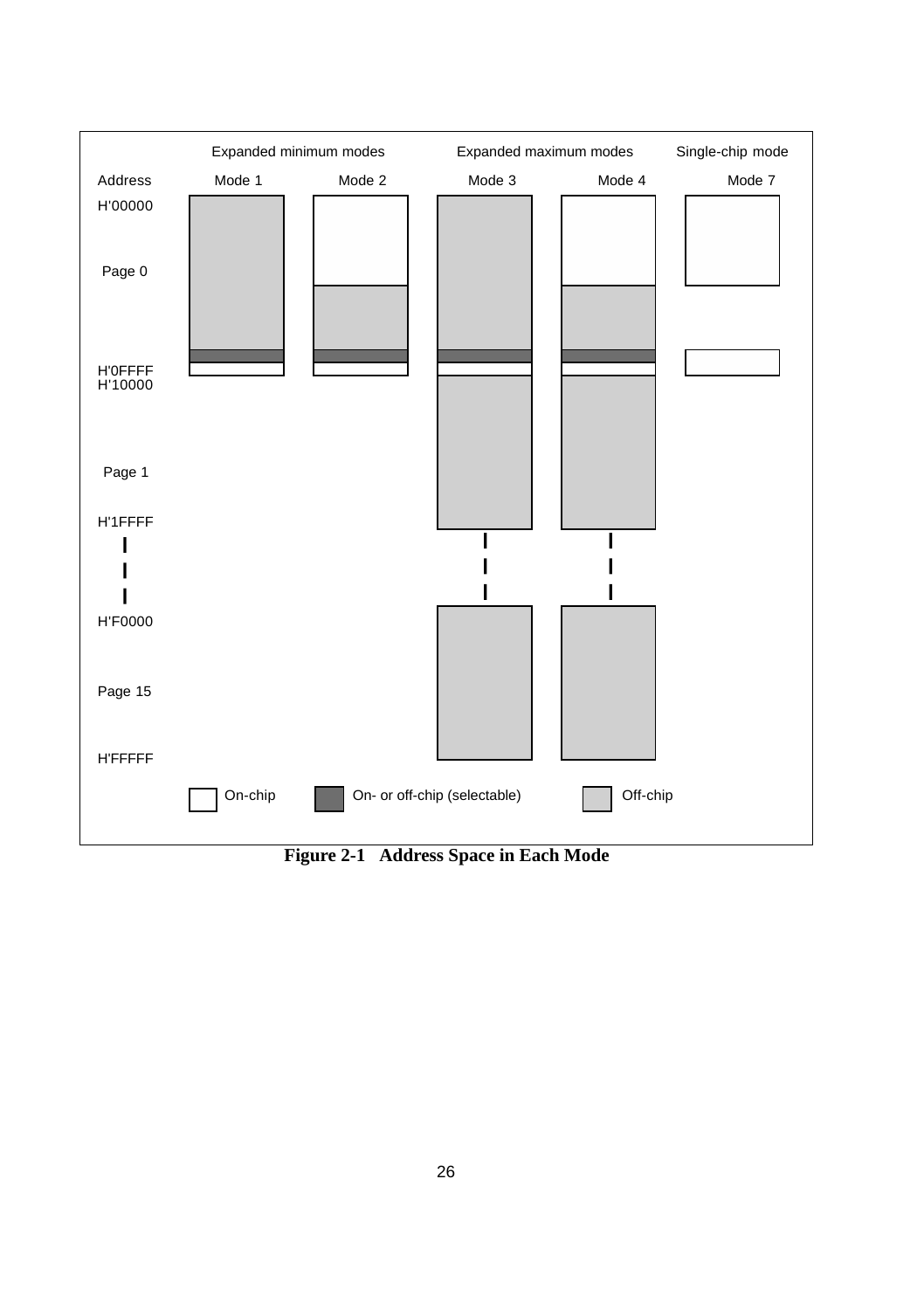

**Figure 2-1 Address Space in Each Mode**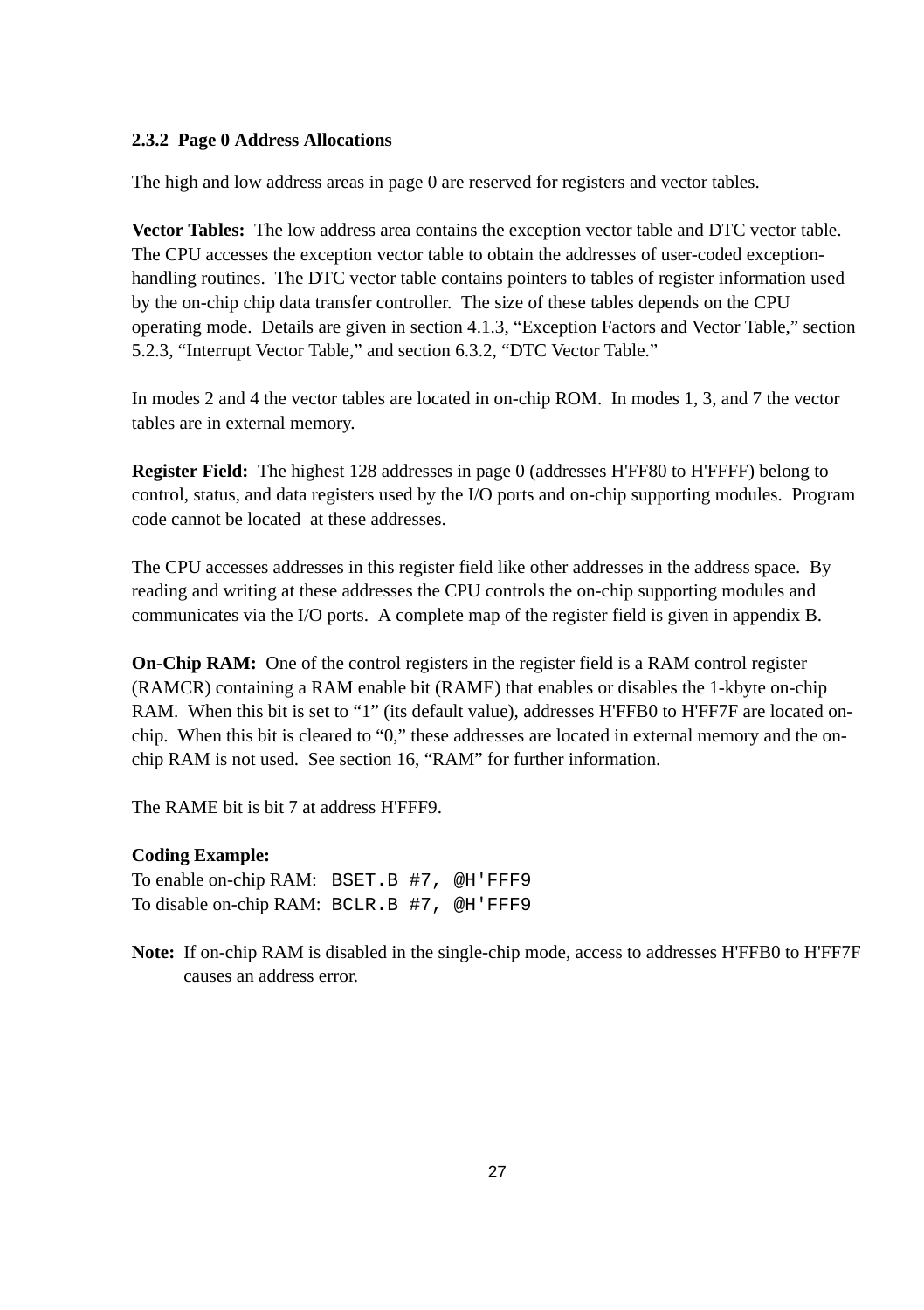## **2.3.2 Page 0 Address Allocations**

The high and low address areas in page 0 are reserved for registers and vector tables.

**Vector Tables:** The low address area contains the exception vector table and DTC vector table. The CPU accesses the exception vector table to obtain the addresses of user-coded exceptionhandling routines. The DTC vector table contains pointers to tables of register information used by the on-chip chip data transfer controller. The size of these tables depends on the CPU operating mode. Details are given in section 4.1.3, "Exception Factors and Vector Table," section 5.2.3, "Interrupt Vector Table," and section 6.3.2, "DTC Vector Table."

In modes 2 and 4 the vector tables are located in on-chip ROM. In modes 1, 3, and 7 the vector tables are in external memory.

**Register Field:** The highest 128 addresses in page 0 (addresses H'FF80 to H'FFFF) belong to control, status, and data registers used by the I/O ports and on-chip supporting modules. Program code cannot be located at these addresses.

The CPU accesses addresses in this register field like other addresses in the address space. By reading and writing at these addresses the CPU controls the on-chip supporting modules and communicates via the I/O ports. A complete map of the register field is given in appendix B.

**On-Chip RAM:** One of the control registers in the register field is a RAM control register (RAMCR) containing a RAM enable bit (RAME) that enables or disables the 1-kbyte on-chip RAM. When this bit is set to "1" (its default value), addresses H'FFB0 to H'FF7F are located onchip. When this bit is cleared to "0," these addresses are located in external memory and the onchip RAM is not used. See section 16, "RAM" for further information.

The RAME bit is bit 7 at address H'FFF9.

## **Coding Example:**

To enable on-chip RAM: BSET.B #7, @H'FFF9 To disable on-chip RAM: BCLR.B #7, @H'FFF9

**Note:** If on-chip RAM is disabled in the single-chip mode, access to addresses H'FFB0 to H'FF7F causes an address error.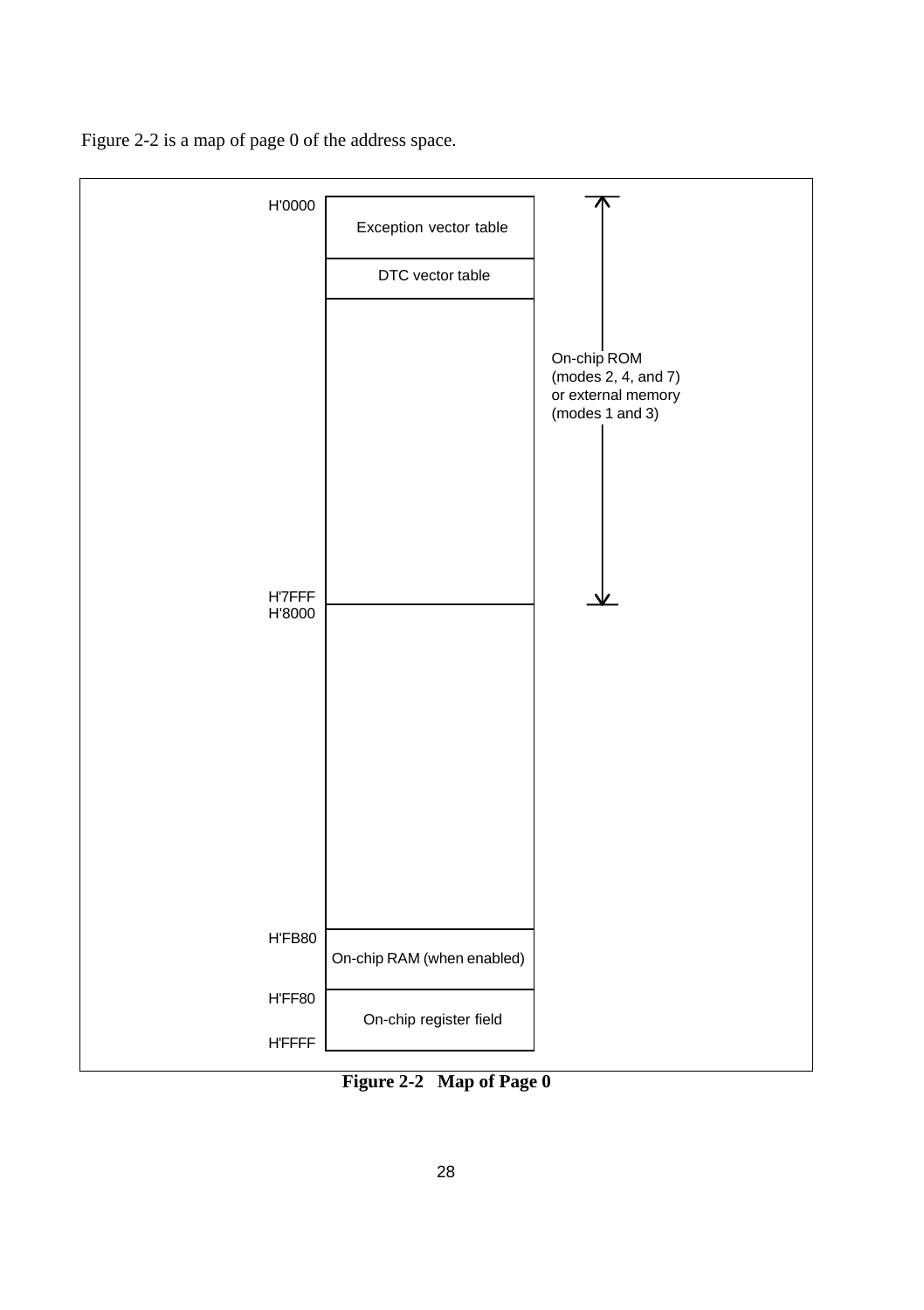Figure 2-2 is a map of page 0 of the address space.



**Figure 2-2 Map of Page 0**